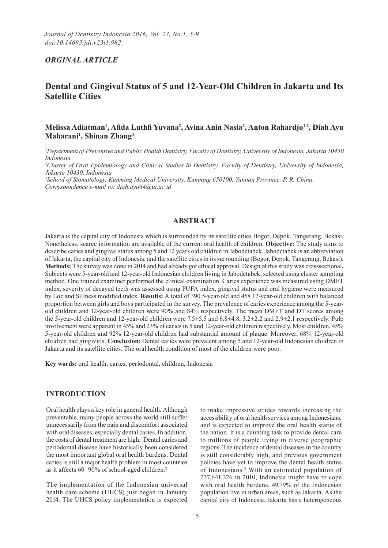## *ORGINAL ARTICLE*

# **Dental and Gingival Status of 5 and 12-Year-Old Children in Jakarta and Its Satellite Cities**

## **Melissa Adiatman1 , Afida Luthfi Yuvana<sup>2</sup> , Avina Anin Nasia2 , Anton Rahardjo1,2, Diah Ayu Maharani1 , Shinan Zhang3**

*1 Department of Preventive and Public Health Dentistry, Faculty of Dentistry, University of Indonesia, Jakarta 10430 Indonesia*

*2 Cluster of Oral Epidemiology and Clinical Studies in Dentistry, Faculty of Dentistry, University of Indonesia, Jakarta 10430, Indonesia*

*3 School of Stomatology, Kunming Medical University, Kunming 650100, Yunnan Province, P. R. China. Correspondence e-mail to: diah.ayu64@ui.ac.id*

### **ABSTRACT**

Jakarta is the capital city of Indonesia which is surrounded by its satellite cities Bogor, Depok, Tangerang, Bekasi. Nonetheless, scarce information are available of the current oral health of children. **Objective:** The study aims to describe caries and gingival status among 5 and 12 years old children in Jabodetabek. Jabodetabek is an abbreviation of Jakarta, the capital city of Indonesia, and the satellite cities in its surrounding (Bogor, Depok, Tangerang, Bekasi). **Methods:** The survey was done in 2014 and had already got ethical approval. Design of this study was crosssectional**.**  Subjects were 5-year-old and 12-year-old Indonesian children living in Jabodetabek, selected using cluster sampling method. One trained examiner performed the clinical examination. Caries experience was measured using DMFT index, severity of decayed teeth was assessed using PUFA index, gingival status and oral hygiene were measured by Loe and Sillness modified index. **Results:** A total of 390 5-year-old and 458 12-year-old children with balanced proportion between girls and boys participated in the survey. The prevalence of caries experience among the 5-yearold children and 12-year-old children were 90% and 84% respectively. The mean DMFT and DT scores among the 5-year-old children and 12-year-old children were 7.5±5.5 and 6.8±4.8; 3.2±2.2 and 2.9±2.1 respectively. Pulp involvement were apparent in 45% and 23% of caries in 5 and 12-year-old children respectively. Most children, 45% 5-year-old children and 92% 12-year-old children had substantial amount of plaque. Moreover, 68% 12-year-old children had gingivitis. **Conclusion:** Dental caries were prevalent among 5 and 12-year-old Indonesian children in Jakarta and its satellite cities. The oral health condition of most of the children were poor.

**Key words:** oral health, caries, periodontal, children, Indonesia

### **INTRODUCTION**

Oral health plays a key role in general health. Although preventable, many people across the world still suffer unnecessarily from the pain and discomfort associated with oral diseases, especially dental caries. In addition, the costs of dental treatment are high.<sup>1</sup> Dental caries and periodontal disease have historically been considered the most important global oral health burdens. Dental caries is still a major health problem in most countries as it affects 60–90% of school-aged children.2

The implementation of the Indonesian universal health care scheme (UHCS) just began in January 2014. The UHCS policy implementation is expected

to make impressive strides towards increasing the accessibility of oral health services among Indonesians, and is expected to improve the oral health status of the nation. It is a daunting task to provide dental care to millions of people living in diverse geographic regions. The incidence of dental diseases in the country is still considerably high, and previous government policies have yet to improve the dental health status of Indonesians.3 With an estimated population of 237,641,326 in 2010, Indonesia might have to cope with oral health burdens. 49.79% of the Indonesian population live in urban areas, such as Jakarta. As the capital city of Indonesia, Jakarta has a heterogeneous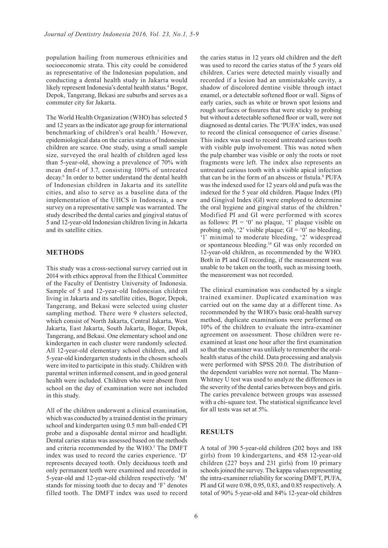population hailing from numerous ethnicities and socioeconomic strata. This city could be considered as representative of the Indonesian population, and conducting a dental health study in Jakarta would likely represent Indonesia's dental health status.<sup>4</sup> Bogor, Depok, Tangerang, Bekasi are suburbs and serves as a commuter city for Jakarta.

The World Health Organization (WHO) has selected 5 and 12 years as the indicator age group for international benchmarking of children's oral health.<sup>5</sup> However, epidemiological data on the caries status of Indonesian children are scarce. One study, using a small sample size, surveyed the oral health of children aged less than 5-year-old, showing a prevalence of 70% with mean dmf-t of 3.7, consisting 100% of untreated decay.6 In order to better understand the dental health of Indonesian children in Jakarta and its satellite cities, and also to serve as a baseline data of the implementation of the UHCS in Indonesia, a new survey on a representative sample was warranted. The study described the dental caries and gingival status of 5 and 12-year-old Indonesian children living in Jakarta and its satellite cities.

## **METHODS**

This study was a cross-sectional survey carried out in 2014 with ethics approval from the Ethical Committee of the Faculty of Dentistry University of Indonesia. Sample of 5 and 12-year-old Indonesian children living in Jakarta and its satellite cities, Bogor, Depok, Tangerang, and Bekasi were selected using cluster sampling method. There were 9 clusters selected, which consist of North Jakarta, Central Jakarta, West Jakarta, East Jakarta, South Jakarta, Bogor, Depok, Tangerang, and Bekasi. One elementary school and one kindergarten in each cluster were randomly selected. All 12-year-old elementary school children, and all 5-year-old kindergarten students in the chosen schools were invited to participate in this study. Children with parental written informed consent, and in good general health were included. Children who were absent from school on the day of examination were not included in this study.

All of the children underwent a clinical examination, which was conducted by a trained dentist in the primary school and kindergarten using 0.5 mm ball-ended CPI probe and a disposable dental mirror and headlight. Dental caries status was assessed based on the methods and criteria recommended by the WHO.<sup>5</sup> The DMFT index was used to record the caries experience. 'D' represents decayed tooth. Only deciduous teeth and only permanent teeth were examined and recorded in 5-year-old and 12-year-old children respectively. 'M' stands for missing tooth due to decay and 'F' denotes filled tooth. The DMFT index was used to record

the caries status in 12 years old children and the deft was used to record the caries status of the 5 years old children. Caries were detected mainly visually and recorded if a lesion had an unmistakable cavity, a shadow of discolored dentine visible through intact enamel, or a detectable softened floor or wall. Signs of early caries, such as white or brown spot lesions and rough surfaces or fissures that were sticky to probing but without a detectable softened floor or wall, were not diagnosed as dental caries. The 'PUFA' index, was used to record the clinical consequence of caries disease.<sup>7</sup> This index was used to record untreated carious tooth with visible pulp involvement. This was noted when the pulp chamber was visible or only the roots or root fragments were left. The index also represents an untreated carious tooth with a visible apical infection that can be in the form of an abscess or fistula.<sup>8</sup> PUFA was the indexed used for 12 years old and pufa was the indexed for the 5 year old children. Plaque Index (PI) and Gingival Index (GI) were employed to determine the oral hygiene and gingival status of the children.<sup>9</sup> Modified PI and GI were performed with scores as follows:  $PI = '0'$  no plaque, '1' plaque visible on probing only, '2' visible plaque;  $GI = '0'$  no bleeding, '1' minimal to moderate bleeding, '2' widespread or spontaneous bleeding.10 GI was only recorded on 12-year-old children, as recommended by the WHO. Both in PI and GI recording, if the measurement was unable to be taken on the tooth, such as missing tooth, the measurement was not recorded.

The clinical examination was conducted by a single trained examiner. Duplicated examination was carried out on the same day at a different time. As recommended by the WHO's basic oral-health survey method, duplicate examinations were performed on 10% of the children to evaluate the intra-examiner agreement on assessment. Those children were reexamined at least one hour after the first examination so that the examiner was unlikely to remember the oralhealth status of the child. Data processing and analysis were performed with SPSS 20.0. The distribution of the dependent variables were not normal. The Mann– Whitney U test was used to analyze the differences in the severity of the dental caries between boys and girls. The caries prevalence between groups was assessed with a chi-square test. The statistical significance level for all tests was set at 5%.

## **RESULTS**

A total of 390 5-year-old children (202 boys and 188 girls) from 10 kindergartens, and 458 12-year-old children (227 boys and 231 girls) from 10 primary schools joined the survey. The kappa values representing the intra-examiner reliability for scoring DMFT, PUFA, PI and GI were 0.98, 0.95, 0.83, and 0.85 respectively. A total of 90% 5-year-old and 84% 12-year-old children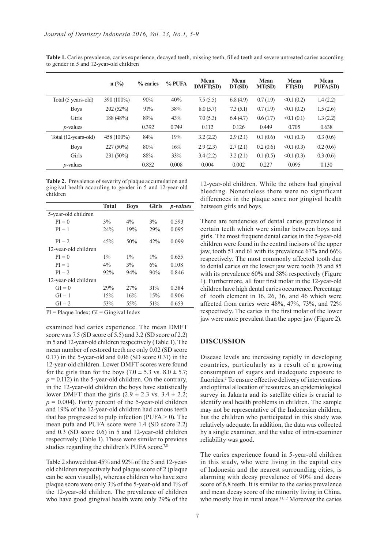|                      | $n$ (%)       | % caries | % PUFA | Mean<br><b>DMFT(SD)</b> | Mean<br>DT(SD) | Mean<br>MT(SD) | Mean<br>FT(SD)   | Mean<br><b>PUFA(SD)</b> |
|----------------------|---------------|----------|--------|-------------------------|----------------|----------------|------------------|-------------------------|
| Total (5 years-old)  | $390(100\%)$  | 90%      | 40%    | 7.5(5.5)                | 6.8(4.9)       | 0.7(1.9)       | <0.1(0.2)        | 1.4(2.2)                |
| <b>Boys</b>          | 202(52%)      | 91%      | 38%    | 8.0(5.7)                | 7.3(5.1)       | 0.7(1.9)       | <0.1(0.2)        | 1.5(2.6)                |
| Girls                | 188 (48%)     | 89%      | 43%    | 7.0(5.3)                | 6.4(4.7)       | 0.6(1.7)       | $\leq 0.1$ (0.1) | 1.3(2.2)                |
| $p$ -values          |               | 0.392    | 0.749  | 0.112                   | 0.126          | 0.449          | 0.705            | 0.638                   |
| Total (12-years-old) | 458 $(100\%)$ | 84%      | 19%    | 3.2(2.2)                | 2.9(2.1)       | 0.1(0.6)       | $\leq 0.1$ (0.3) | 0.3(0.6)                |
| <b>Boys</b>          | $227(50\%)$   | 80%      | 16%    | 2.9(2.3)                | 2.7(2.1)       | 0.2(0.6)       | $\leq 0.1$ (0.3) | 0.2(0.6)                |
| Girls                | 231 (50%)     | 88%      | 33%    | 3.4(2.2)                | 3.2(2.1)       | 0.1(0.5)       | $\leq 0.1$ (0.3) | 0.3(0.6)                |
| $p$ -values          |               | 0.852    | 0.008  | 0.004                   | 0.002          | 0.227          | 0.095            | 0.130                   |

**Table 1.** Caries prevalence, caries experience, decayed teeth, missing teeth, filled teeth and severe untreated caries according to gender in 5 and 12-year-old children

**Table 2.** Prevalence of severity of plaque accumulation and gingival health according to gender in 5 and 12-year-old children

|                      | <b>Total</b> | <b>Boys</b> | <b>Girls</b> | <i>p</i> -values |
|----------------------|--------------|-------------|--------------|------------------|
| 5-year-old children  |              |             |              |                  |
| $PI = 0$             | 3%           | $4\%$       | $3\%$        | 0.593            |
| $PI = 1$             | 24%          | 19%         | 29%          | 0.095            |
| $PI = 2$             | 45%          | 50%         | 42%          | 0.099            |
| 12-year-old children |              |             |              |                  |
| $PI = 0$             | $1\%$        | $1\%$       | $1\%$        | 0.655            |
| $PI = 1$             | $4\%$        | 3%          | 6%           | 0.108            |
| $PI = 2$             | 92%          | 94%         | 90%          | 0.846            |
| 12-year-old children |              |             |              |                  |
| $GI = 0$             | 29%          | 27%         | 31%          | 0.384            |
| $GI = 1$             | 15%          | 16%         | 15%          | 0.906            |
| $GI = 2$             | 53%          | 55%         | 51%          | 0.653            |
|                      |              |             |              |                  |

 $PI = Plaque Index$ ;  $GI = Gingival Index$ 

examined had caries experience. The mean DMFT score was 7.5 (SD score of 5.5) and 3.2 (SD score of 2.2) in 5 and 12-year-old children respectively (Table 1). The mean number of restored teeth are only 0.02 (SD score 0.17) in the 5-year-old and 0.06 (SD score 0.31) in the 12-year-old children. Lower DMFT scores were found for the girls than for the boys (7.0  $\pm$  5.3 vs. 8.0  $\pm$  5.7;  $p = 0.112$ ) in the 5-year-old children. On the contrary, in the 12-year-old children the boys have statistically lower DMFT than the girls  $(2.9 \pm 2.3 \text{ vs. } 3.4 \pm 2.2)$ ;  $p = 0.004$ ). Forty percent of the 5-year-old children and 19% of the 12-year-old children had carious teeth that has progressed to pulp infection (PUFA  $>$  0). The mean pufa and PUFA score were 1.4 (SD score 2.2) and 0.3 (SD score 0.6) in 5 and 12-year-old children respectively (Table 1). These were similar to previous studies regarding the children's PUFA score.<sup>7,8</sup>

Table 2 showed that 45% and 92% of the 5 and 12-yearold children respectively had plaque score of 2 (plaque can be seen visually), whereas children who have zero plaque score were only 3% of the 5-year-old and 1% of the 12-year-old children. The prevalence of children who have good gingival health were only 29% of the

12-year-old children. While the others had gingival bleeding. Nonetheless there were no significant differences in the plaque score nor gingival health between girls and boys.

There are tendencies of dental caries prevalence in certain teeth which were similar between boys and girls. The most frequent dental caries in the 5-year-old children were found in the central incisors of the upper jaw, tooth 51 and 61 with its prevalence 67% and 66% respectively. The most commonly affected tooth due to dental caries on the lower jaw were tooth 75 and 85 with its prevalence 60% and 58% respectively (Figure 1). Furthermore, all four first molar in the 12-year-old children have high dental caries occurrence. Percentage of tooth element in 16, 26, 36, and 46 which were affected from caries were 48%, 47%, 73%, and 72% respectively. The caries in the first molar of the lower jaw were more prevalent than the upper jaw (Figure 2).

#### **DISCUSSION**

Disease levels are increasing rapidly in developing countries, particularly as a result of a growing consumption of sugars and inadequate exposure to fluorides.<sup>2</sup> To ensure effective delivery of interventions and optimal allocation of resources, an epidemiological survey in Jakarta and its satellite cities is crucial to identify oral health problems in children. The sample may not be representative of the Indonesian children, but the children who participated in this study was relatively adequate. In addition, the data was collected by a single examiner, and the value of intra-examiner reliability was good.

The caries experience found in 5-year-old children in this study, who were living in the capital city of Indonesia and the nearest surrounding cities, is alarming with decay prevalence of 90% and decay score of 6.8 teeth. It is similar to the caries prevalence and mean decay score of the minority living in China, who mostly live in rural areas.<sup>11,12</sup> Moreover the caries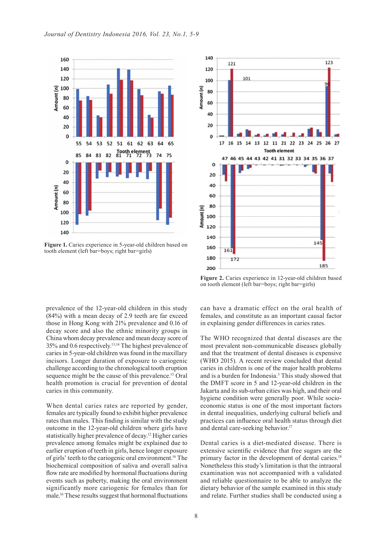

Figure 1. Caries experience in 5-year-old children based on tooth element (left bar=boys; right bar=girls)



Figure 2. Caries experience in 12-year-old children based on tooth element (left bar=boys; right bar=girls)

prevalence of the 12-year-old children in this study (84%) with a mean decay of 2.9 teeth are far exceed those in Hong Kong with 21% prevalence and 0.16 of decay score and also the ethnic minority groups in China whom decay prevalence and mean decay score of 35% and 0.6 respectively.13,14 The highest prevalence of caries in 5-year-old children was found in the maxillary incisors. Longer duration of exposure to cariogenic challenge according to the chronological tooth eruption sequence might be the cause of this prevalence.<sup>15</sup> Oral health promotion is crucial for prevention of dental caries in this community.

When dental caries rates are reported by gender, females are typically found to exhibit higher prevalence rates than males. This finding is similar with the study outcome in the 12-year-old children where girls have statistically higher prevalence of decay.12 Higher caries prevalence among females might be explained due to earlier eruption of teeth in girls, hence longer exposure of girls' teeth to the cariogenic oral environment.16 The biochemical composition of saliva and overall saliva flow rate are modified by hormonal fluctuations during events such as puberty, making the oral environment significantly more cariogenic for females than for male.16 These results suggest that hormonal fluctuations

can have a dramatic effect on the oral health of females, and constitute as an important causal factor in explaining gender differences in caries rates.

The WHO recognized that dental diseases are the most prevalent non-communicable diseases globally and that the treatment of dental diseases is expensive (WHO 2015). A recent review concluded that dental caries in children is one of the major health problems and is a burden for Indonesia.<sup>3</sup> This study showed that the DMFT score in 5 and 12-year-old children in the Jakarta and its sub-urban cities was high, and their oral hygiene condition were generally poor. While socioeconomic status is one of the most important factors in dental inequalities, underlying cultural beliefs and practices can influence oral health status through diet and dental care-seeking behavior.<sup>17</sup>

Dental caries is a diet-mediated disease. There is extensive scientific evidence that free sugars are the primary factor in the development of dental caries.18 Nonetheless this study's limitation is that the intraoral examination was not accompanied with a validated and reliable questionnaire to be able to analyze the dietary behavior of the sample examined in this study and relate. Further studies shall be conducted using a